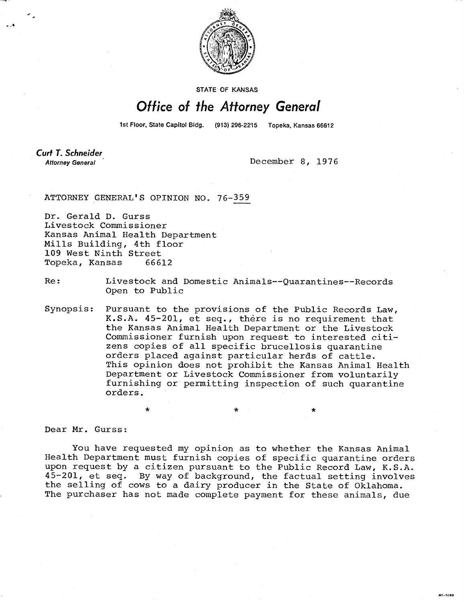

STATE OF KANSAS

## Office of the Attorney General

1st Floor, State Capitol Bldg. (913) 296-2215 Topeka, Kansas 66612

**Curt T. Schneider Attorney General** 

December 8, 1976

81-1043

ATTORNEY GENERAL'S OPINION NO. 76-359

Dr. Gerald D. Gurss Livestock Commissioner Kansas Animal Health Department Mills Building, 4th floor 109 West Ninth Street Topeka, Kansas 66612

Re: Livestock and Domestic Animals--Quarantines--Records Open to Public

Synopsis: Pursuant to the provisions of the Public Records Law, K.S.A. 45-201, et seq., there is no requirement that the Kansas Animal Health Department or the Livestock Commissioner furnish upon request to interested citizens copies of all specific brucellosis quarantine orders placed against particular herds of cattle. This opinion does not prohibit the Kansas Animal Health Department or Livestock Commissioner from voluntarily furnishing or permitting inspection of such quarantine orders.

Dear Mr. Gurss:

You have requested my opinion as to whether the Kansas Animal Health Department must furnish copies of specific quarantine orders upon request by a citizen pursuant to the Public Record Law, K.S.A. 45-201, et seq. By way of background, the factual setting involves the selling of cows to a dairy producer in the State of Oklahoma. The purchaser has not made complete payment for these animals, due

\*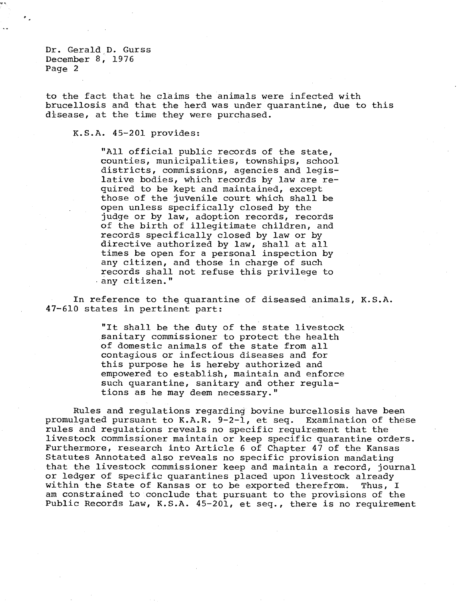Dr. Gerald D. Gurss December  $8, 1976$ Page 2

to the fact that he claims the animals were infected with brucellosis and that the herd was under quarantine, due to this disease, at the time they were purchased.

## K.S.A. 45-201 provides:

"All official public records of the state, counties, municipalities, townships, school districts, commissions, agencies and legislative bodies, which records by law are required to be kept and maintained, except those of the juvenile court which shall be open unless specifically closed by the judge or by law, adoption records, records of the birth of illegitimate children, and records specifically closed by law or by directive authorized by law, shall at all times be open for a personal inspection by any citizen, and those in charge of such records shall not refuse this privilege to any citizen."

In reference to the quarantine of diseased animals, K.S.A. 47-610 states in pertinent part:

> "It shall be the duty of the state livestock sanitary commissioner to protect the health of domestic animals of the state from all contagious or infectious diseases and for this purpose he is hereby authorized and empowered to establish, maintain and enforce such quarantine, sanitary and other regulations as he may deem necessary."

Rules and regulations regarding bovine burcellosis have been promulgated pursuant to K.A.R. 9-2-1, et seq. Examination of these rules and regulations reveals no specific requirement that the livestock commissioner maintain or keep specific quarantine orders. Furthermore, research into Article 6 of Chapter 47 of the Kansas Statutes Annotated also reveals no specific provision mandating that the livestock commissioner keep and maintain a record, journal or ledger of specific quarantines placed upon livestock already within the State of Kansas or to be exported therefrom. Thus, I am constrained to conclude that pursuant to the provisions of the Public Records Law, K.S.A. 45-201, et seq., there is no requirement